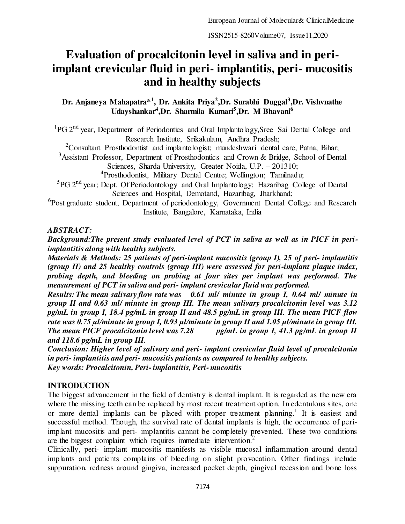# **Evaluation of procalcitonin level in saliva and in periimplant crevicular fluid in peri- implantitis, peri- mucositis and in healthy subjects**

**Dr. Anjaneya Mahapatra\*<sup>1</sup> , Dr. Ankita Priya<sup>2</sup> ,Dr. Surabhi Duggal<sup>3</sup> ,Dr. Vishvnathe Udayshankar<sup>4</sup> ,Dr. Sharmila Kumari<sup>5</sup> ,Dr. M Bhavani<sup>6</sup>**

<sup>1</sup>PG 2<sup>nd</sup> year, Department of Periodontics and Oral Implantology, Sree Sai Dental College and Research Institute, Srikakulam, Andhra Pradesh;

<sup>2</sup>Consultant Prosthodontist and implantologist; mundeshwari dental care, Patna, Bihar;

<sup>3</sup>Assistant Professor, Department of Prosthodontics and Crown & Bridge, School of Dental

Sciences, Sharda University, Greater Noida, U.P. – 201310;

4 Prosthodontist, Military Dental Centre; Wellington; Tamilnadu;

<sup>5</sup>PG 2<sup>nd</sup> year; Dept. Of Periodontology and Oral Implantology; Hazaribag College of Dental Sciences and Hospital, Demotand, Hazaribag, Jharkhand;

<sup>6</sup>Post graduate student, Department of periodontology, Government Dental College and Research Institute, Bangalore, Karnataka, India

## *ABSTRACT:*

*Background:The present study evaluated level of PCT in saliva as well as in PICF in periimplantitis along with healthy subjects.* 

*Materials & Methods: 25 patients of peri-implant mucositis (group I), 25 of peri- implantitis (group II) and 25 healthy controls (group III) were assessed for peri-implant plaque index, probing depth, and bleeding on probing at four sites per implant was performed. The measurement of PCT in saliva and peri- implant crevicular fluid was performed.* 

*Results: The mean salivary flow rate was 0.61 ml/ minute in group I, 0.64 ml/ minute in group II and 0.63 ml/ minute in group III. The mean salivary procalcitonin level was 3.12 pg/mL in group I, 18.4 pg/mL in group II and 48.5 pg/mL in group III. The mean PICF flow rate was 0.75 μl/minute in group I, 0.93 μl/minute in group II and 1.05 μl/minute in group III. The mean PICF procalcitonin level was 7.28 pg/mL in group I, 41.3 pg/mL in group II and 118.6 pg/mL in group III.* 

*Conclusion: Higher level of salivary and peri- implant crevicular fluid level of procalcitonin in peri- implantitis and peri- mucositis patients as compared to healthy subjects. Key words: Procalcitonin, Peri- implantitis, Peri- mucositis* 

# **INTRODUCTION**

The biggest advancement in the field of dentistry is dental implant. It is regarded as the new era where the missing teeth can be replaced by most recent treatment option. In edentulous sites, one or more dental implants can be placed with proper treatment planning.<sup>1</sup> It is easiest and successful method. Though, the survival rate of dental implants is high, the occurrence of periimplant mucositis and peri- implantitis cannot be completely prevented. These two conditions are the biggest complaint which requires immediate intervention.<sup>2</sup>

Clinically, peri- implant mucositis manifests as visible mucosal inflammation around dental implants and patients complains of bleeding on slight provocation. Other findings include suppuration, redness around gingiva, increased pocket depth, gingival recession and bone loss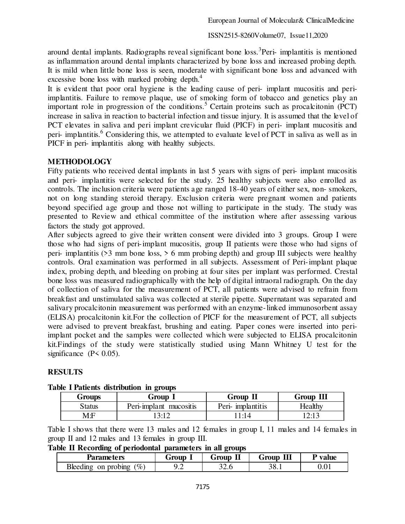around dental implants. Radiographs reveal significant bone loss.<sup>3</sup> Peri- implantitis is mentioned as inflammation around dental implants characterized by bone loss and increased probing depth. It is mild when little bone loss is seen, moderate with significant bone loss and advanced with excessive bone loss with marked probing depth.<sup>4</sup>

It is evident that poor oral hygiene is the leading cause of peri- implant mucositis and periimplantitis. Failure to remove plaque, use of smoking form of tobacco and genetics play an important role in progression of the conditions.<sup>5</sup> Certain proteins such as procalcitonin (PCT) increase in saliva in reaction to bacterial infection and tissue injury. It is assumed that the level of PCT elevates in saliva and peri implant crevicular fluid (PICF) in peri- implant mucositis and peri- implantitis.<sup>6</sup> Considering this, we attempted to evaluate level of PCT in saliva as well as in PICF in peri- implantitis along with healthy subjects.

# **METHODOLOGY**

Fifty patients who received dental implants in last 5 years with signs of peri- implant mucositis and peri- implantitis were selected for the study. 25 healthy subjects were also enrolled as controls. The inclusion criteria were patients age ranged 18-40 years of either sex, non- smokers, not on long standing steroid therapy. Exclusion criteria were pregnant women and patients beyond specified age group and those not willing to participate in the study. The study was presented to Review and ethical committee of the institution where after assessing various factors the study got approved.

After subjects agreed to give their written consent were divided into 3 groups. Group I were those who had signs of peri-implant mucositis, group II patients were those who had signs of peri- implantitis ( $>3$  mm bone loss,  $>6$  mm probing depth) and group III subjects were healthy controls. Oral examination was performed in all subjects. Assessment of Peri-implant plaque index, probing depth, and bleeding on probing at four sites per implant was performed. Crestal bone loss was measured radiographically with the help of digital intraoral radiograph. On the day of collection of saliva for the measurement of PCT, all patients were advised to refrain from breakfast and unstimulated saliva was collected at sterile pipette. Supernatant was separated and salivary procalcitonin measurement was performed with an enzyme-linked immunosorbent assay (ELISA) procalcitonin kit.For the collection of PICF for the measurement of PCT, all subjects were advised to prevent breakfast, brushing and eating. Paper cones were inserted into periimplant pocket and the samples were collected which were subjected to ELISA procalcitonin kit.Findings of the study were statistically studied using Mann Whitney U test for the significance  $(P< 0.05)$ .

## **RESULTS**

| $\frac{1}{2}$            |                        |                   |           |  |  |
|--------------------------|------------------------|-------------------|-----------|--|--|
| Group 1<br><b>Groups</b> |                        | Group II          | Group III |  |  |
| Status                   | Peri-implant mucositis | Peri- implantitis | Healthy   |  |  |
| M:F                      | 3:12                   | 1:14              | 12:13     |  |  |

## **Table I Patients distribution in groups**

Table I shows that there were 13 males and 12 females in group I, 11 males and 14 females in group II and 12 males and 13 females in group III.

**Table II Recording of periodontal parameters in all groups** 

| Parameters                                         | Group   | Group<br>ш | Ш<br>Group        | value       |
|----------------------------------------------------|---------|------------|-------------------|-------------|
| $\mathscr{C}_o$ ,<br><b>Bleeding</b><br>on probing | $\cdot$ | ີ<br>ں ۔ ب | າ ດ<br>יש<br>JU.I | $v \cdot v$ |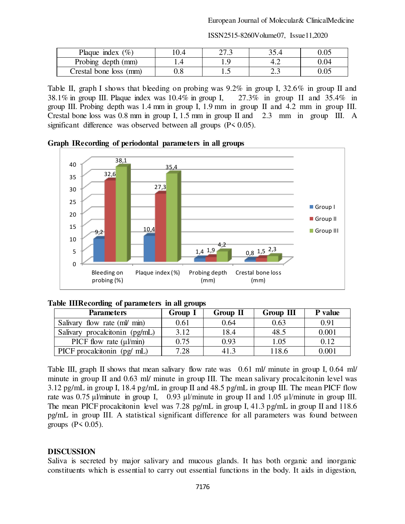| Plaque index $(\% )$   | ר דר |            |      |
|------------------------|------|------------|------|
|                        |      |            |      |
| Probing depth (mm)     |      | т.∠        | 0.04 |
| Crestal bone loss (mm) |      | n 1<br>ن ک |      |

Table II, graph I shows that bleeding on probing was 9.2% in group I, 32.6% in group II and 38.1% in group III. Plaque index was 10.4% in group I, 27.3% in group II and 35.4% in group III. Probing depth was 1.4 mm in group I, 1.9 mm in group II and 4.2 mm in group III. Crestal bone loss was 0.8 mm in group I, 1.5 mm in group II and 2.3 mm in group III. A significant difference was observed between all groups (P< 0.05).

**Graph IRecording of periodontal parameters in all groups**



|  |  | Table IIIRecording of parameters in all groups |  |
|--|--|------------------------------------------------|--|
|--|--|------------------------------------------------|--|

| <b>Parameters</b>                  | Group 1 | Group II | Group III | <b>P</b> value |
|------------------------------------|---------|----------|-----------|----------------|
| Salivary flow rate (ml/ min)       | 0.61    | 0.64     | 0.63      | 0.91           |
| Salivary procalcitonin (pg/mL)     | 3.12    | 18.4     | 48.5      | 0.001          |
| PICF flow rate $(\mu\text{l/min})$ | 0.75    | 0.93     | 1.05      | 0.12           |
| PICF procalcitonin (pg/ mL)        | 7.28    | 41.3     | 118.6     | 0.001          |

Table III, graph II shows that mean salivary flow rate was 0.61 ml/ minute in group I, 0.64 ml/ minute in group II and 0.63 ml/ minute in group III. The mean salivary procalcitonin level was 3.12 pg/mL in group I, 18.4 pg/mL in group II and 48.5 pg/mL in group III. The mean PICF flow rate was 0.75 μl/minute in group I, 0.93 μl/minute in group II and 1.05 μl/minute in group III. The mean PICF procalcitonin level was 7.28 pg/mL in group I, 41.3 pg/mL in group II and 118.6 pg/mL in group III. A statistical significant difference for all parameters was found between groups  $(P < 0.05)$ .

## **DISCUSSION**

Saliva is secreted by major salivary and mucous glands. It has both organic and inorganic constituents which is essential to carry out essential functions in the body. It aids in digestion,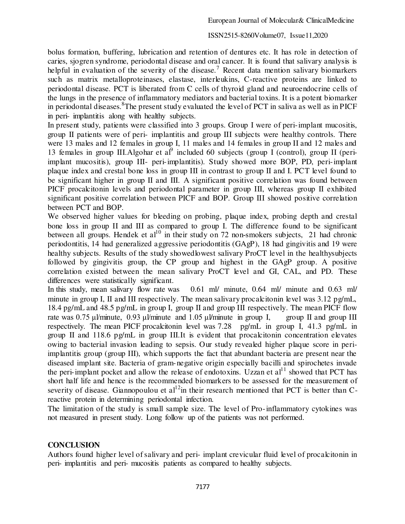bolus formation, buffering, lubrication and retention of dentures etc. It has role in detection of caries, sjogren syndrome, periodontal disease and oral cancer. It is found that salivary analysis is helpful in evaluation of the severity of the disease.<sup>7</sup> Recent data mention salivary biomarkers such as matrix metalloproteinases, elastase, interleukins, C-reactive proteins are linked to periodontal disease. PCT is liberated from C cells of thyroid gland and neuroendocrine cells of the lungs in the presence of inflammatory mediators and bacterial toxins. It is a potent biomarker in periodontal diseases.<sup>8</sup>The present study evaluated the level of PCT in saliva as well as in PICF in peri- implantitis along with healthy subjects.

In present study, patients were classified into 3 groups. Group I were of peri-implant mucositis, group II patients were of peri- implantitis and group III subjects were healthy controls. There were 13 males and 12 females in group I, 11 males and 14 females in group II and 12 males and 13 females in group III. Algohar et al<sup>9</sup> included 60 subjects (group I (control), group II (periimplant mucositis), group III- peri-implantitis). Study showed more BOP, PD, peri-implant plaque index and crestal bone loss in group III in contrast to group II and I. PCT level found to be significant higher in group II and III. A significant positive correlation was found between PICF procalcitonin levels and periodontal parameter in group III, whereas group II exhibited significant positive correlation between PICF and BOP. Group III showed positive correlation between PCT and BOP.

We observed higher values for bleeding on probing, plaque index, probing depth and crestal bone loss in group II and III as compared to group I. The difference found to be significant between all groups. Hendek et al<sup>10</sup> in their study on 72 non-smokers subjects, 21 had chronic periodontitis, 14 had generalized aggressive periodontitis (GAgP), 18 had gingivitis and 19 were healthy subjects. Results of the study showedlowest salivary ProCT level in the healthysubjects followed by gingivitis group, the CP group and highest in the GAgP group. A positive correlation existed between the mean salivary ProCT level and GI, CAL, and PD. These differences were statistically significant.

In this study, mean salivary flow rate was 0.61 ml/ minute, 0.64 ml/ minute and 0.63 ml/ minute in group I, II and III respectively. The mean salivary procalcitonin level was 3.12 pg/mL, 18.4 pg/mL and 48.5 pg/mL in group I, group II and group III respectively. The mean PICF flow rate was  $0.75 \text{ u/minute}$ ,  $0.93 \text{ u/minute}$  and  $1.05 \text{ u/minute}$  in group I, group II and group III respectively. The mean PICF procalcitonin level was 7.28 pg/mL in group I, 41.3 pg/mL in group II and 118.6 pg/mL in group III.It is evident that procalcitonin concentration elevates owing to bacterial invasion leading to sepsis. Our study revealed higher plaque score in periimplantitis group (group III), which supports the fact that abundant bacteria are present near the diseased implant site. Bacteria of gram-negative origin especially bacilli and spirochetes invade the peri-implant pocket and allow the release of endotoxins. Uzzan et  $al<sup>11</sup>$  showed that PCT has short half life and hence is the recommended biomarkers to be assessed for the measurement of severity of disease. Giannopoulou et  $al^{12}$  in their research mentioned that PCT is better than Creactive protein in determining periodontal infection.

The limitation of the study is small sample size. The level of Pro-inflammatory cytokines was not measured in present study. Long follow up of the patients was not performed.

## **CONCLUSION**

Authors found higher level of salivary and peri- implant crevicular fluid level of procalcitonin in peri- implantitis and peri- mucositis patients as compared to healthy subjects.